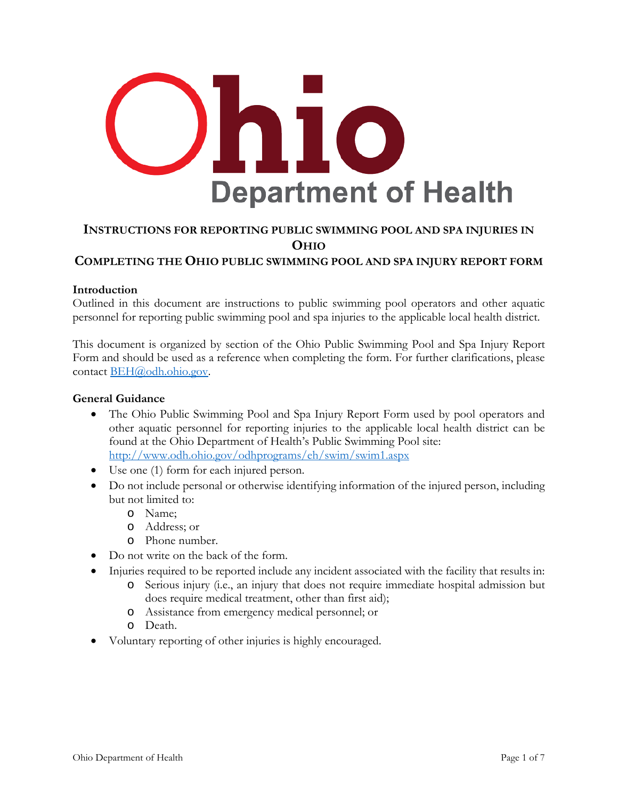

# **INSTRUCTIONS FOR REPORTING PUBLIC SWIMMING POOL AND SPA INJURIES IN OHIO**

# **COMPLETING THE OHIO PUBLIC SWIMMING POOL AND SPA INJURY REPORT FORM**

## **Introduction**

Outlined in this document are instructions to public swimming pool operators and other aquatic personnel for reporting public swimming pool and spa injuries to the applicable local health district.

This document is organized by section of the Ohio Public Swimming Pool and Spa Injury Report Form and should be used as a reference when completing the form. For further clarifications, please contact [BEH@odh.ohio.gov.](mailto:BEH@odh.ohio.gov)

## **General Guidance**

- The Ohio Public Swimming Pool and Spa Injury Report Form used by pool operators and other aquatic personnel for reporting injuries to the applicable local health district can be found at the Ohio Department of Health's Public Swimming Pool site: <http://www.odh.ohio.gov/odhprograms/eh/swim/swim1.aspx>
- Use one (1) form for each injured person.
- Do not include personal or otherwise identifying information of the injured person, including but not limited to:
	- o Name;
	- o Address; or
	- o Phone number.
- Do not write on the back of the form.
- Injuries required to be reported include any incident associated with the facility that results in:
	- o Serious injury (i.e., an injury that does not require immediate hospital admission but does require medical treatment, other than first aid);
	- o Assistance from emergency medical personnel; or
	- o Death.
- Voluntary reporting of other injuries is highly encouraged.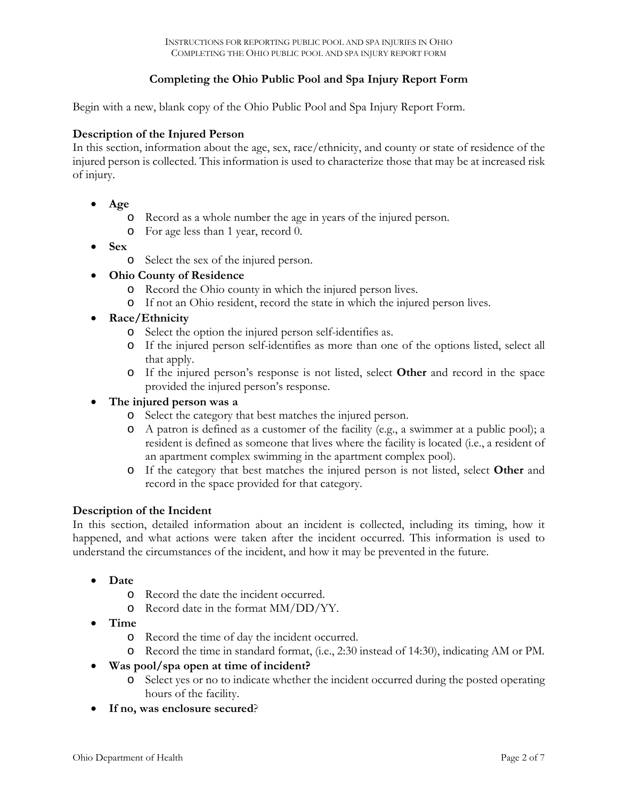# **Completing the Ohio Public Pool and Spa Injury Report Form**

Begin with a new, blank copy of the Ohio Public Pool and Spa Injury Report Form.

# **Description of the Injured Person**

In this section, information about the age, sex, race/ethnicity, and county or state of residence of the injured person is collected. This information is used to characterize those that may be at increased risk of injury.

- **Age**
	- o Record as a whole number the age in years of the injured person.
	- o For age less than 1 year, record 0.
- **Sex**
	- o Select the sex of the injured person.
- **Ohio County of Residence**
	- o Record the Ohio county in which the injured person lives.
	- o If not an Ohio resident, record the state in which the injured person lives.
- **Race/Ethnicity**
	- o Select the option the injured person self-identifies as.
	- o If the injured person self-identifies as more than one of the options listed, select all that apply.
	- o If the injured person's response is not listed, select **Other** and record in the space provided the injured person's response.

#### • **The injured person was a**

- o Select the category that best matches the injured person.
- o A patron is defined as a customer of the facility (e.g., a swimmer at a public pool); a resident is defined as someone that lives where the facility is located (i.e., a resident of an apartment complex swimming in the apartment complex pool).
- o If the category that best matches the injured person is not listed, select **Other** and record in the space provided for that category.

#### **Description of the Incident**

In this section, detailed information about an incident is collected, including its timing, how it happened, and what actions were taken after the incident occurred. This information is used to understand the circumstances of the incident, and how it may be prevented in the future.

- **Date**
	- o Record the date the incident occurred.
	- o Record date in the format MM/DD/YY.
- **Time**
	- o Record the time of day the incident occurred.
	- o Record the time in standard format, (i.e., 2:30 instead of 14:30), indicating AM or PM.
- **Was pool/spa open at time of incident?**
	- o Select yes or no to indicate whether the incident occurred during the posted operating hours of the facility.
- **If no, was enclosure secured**?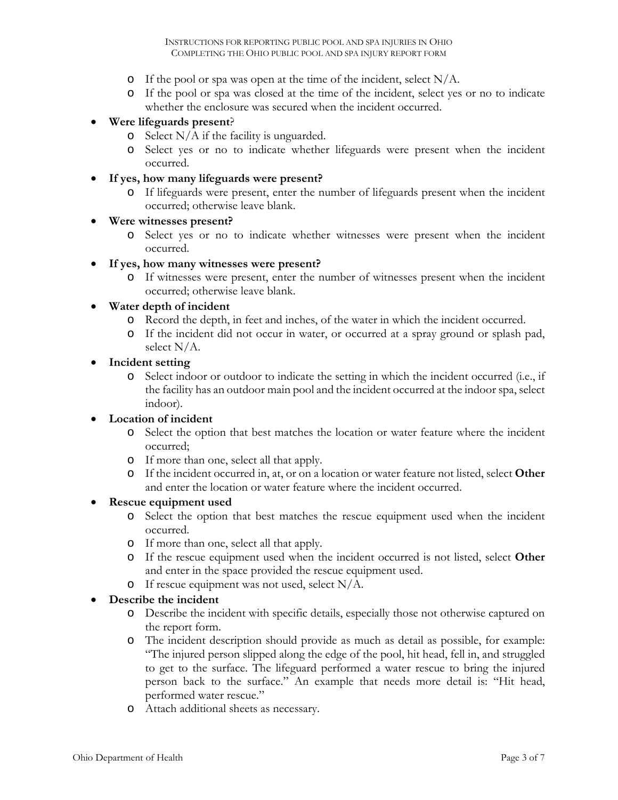- o If the pool or spa was open at the time of the incident, select  $N/A$ .
- o If the pool or spa was closed at the time of the incident, select yes or no to indicate whether the enclosure was secured when the incident occurred.

# • **Were lifeguards present**?

- $\circ$  Select N/A if the facility is unguarded.
- o Select yes or no to indicate whether lifeguards were present when the incident occurred.

# • **If yes, how many lifeguards were present?**

o If lifeguards were present, enter the number of lifeguards present when the incident occurred; otherwise leave blank.

## • **Were witnesses present?**

o Select yes or no to indicate whether witnesses were present when the incident occurred.

## • **If yes, how many witnesses were present?**

o If witnesses were present, enter the number of witnesses present when the incident occurred; otherwise leave blank.

## • **Water depth of incident**

- o Record the depth, in feet and inches, of the water in which the incident occurred.
- o If the incident did not occur in water, or occurred at a spray ground or splash pad, select N/A.

#### • **Incident setting**

o Select indoor or outdoor to indicate the setting in which the incident occurred (i.e., if the facility has an outdoor main pool and the incident occurred at the indoor spa, select indoor).

# • **Location of incident**

- o Select the option that best matches the location or water feature where the incident occurred;
- o If more than one, select all that apply.
- o If the incident occurred in, at, or on a location or water feature not listed, select **Other**  and enter the location or water feature where the incident occurred.

#### • **Rescue equipment used**

- o Select the option that best matches the rescue equipment used when the incident occurred.
- o If more than one, select all that apply.
- o If the rescue equipment used when the incident occurred is not listed, select **Other** and enter in the space provided the rescue equipment used.
- o If rescue equipment was not used, select N/A.

# • **Describe the incident**

- o Describe the incident with specific details, especially those not otherwise captured on the report form.
- o The incident description should provide as much as detail as possible, for example: "The injured person slipped along the edge of the pool, hit head, fell in, and struggled to get to the surface. The lifeguard performed a water rescue to bring the injured person back to the surface." An example that needs more detail is: "Hit head, performed water rescue."
- o Attach additional sheets as necessary.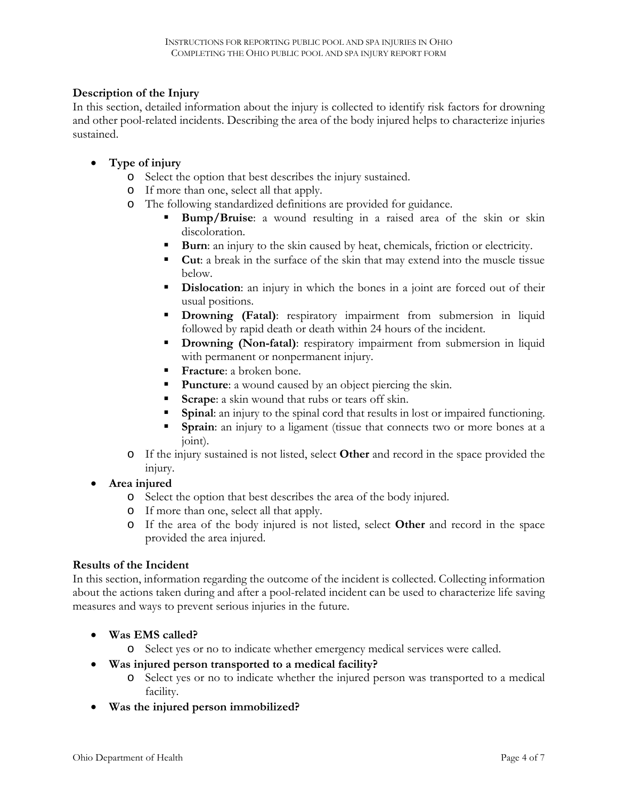# **Description of the Injury**

In this section, detailed information about the injury is collected to identify risk factors for drowning and other pool-related incidents. Describing the area of the body injured helps to characterize injuries sustained.

# • **Type of injury**

- o Select the option that best describes the injury sustained.
- o If more than one, select all that apply.
- o The following standardized definitions are provided for guidance.
	- **Bump/Bruise**: a wound resulting in a raised area of the skin or skin discoloration.
	- **Burn**: an injury to the skin caused by heat, chemicals, friction or electricity.
	- **Cut**: a break in the surface of the skin that may extend into the muscle tissue below.
	- **Dislocation:** an injury in which the bones in a joint are forced out of their usual positions.
	- **Drowning (Fatal)**: respiratory impairment from submersion in liquid followed by rapid death or death within 24 hours of the incident.
	- **Drowning (Non-fatal)**: respiratory impairment from submersion in liquid with permanent or nonpermanent injury.
	- **Fracture**: a broken bone.
	- **Puncture:** a wound caused by an object piercing the skin.
	- **Scrape**: a skin wound that rubs or tears off skin.
	- **Spinal**: an injury to the spinal cord that results in lost or impaired functioning.
	- **Sprain**: an injury to a ligament (tissue that connects two or more bones at a joint).
- o If the injury sustained is not listed, select **Other** and record in the space provided the injury.
- **Area injured**
	- o Select the option that best describes the area of the body injured.
	- o If more than one, select all that apply.
	- o If the area of the body injured is not listed, select **Other** and record in the space provided the area injured.

# **Results of the Incident**

In this section, information regarding the outcome of the incident is collected. Collecting information about the actions taken during and after a pool-related incident can be used to characterize life saving measures and ways to prevent serious injuries in the future.

- **Was EMS called?**
	- o Select yes or no to indicate whether emergency medical services were called.
- **Was injured person transported to a medical facility?**
	- o Select yes or no to indicate whether the injured person was transported to a medical facility.
- **Was the injured person immobilized?**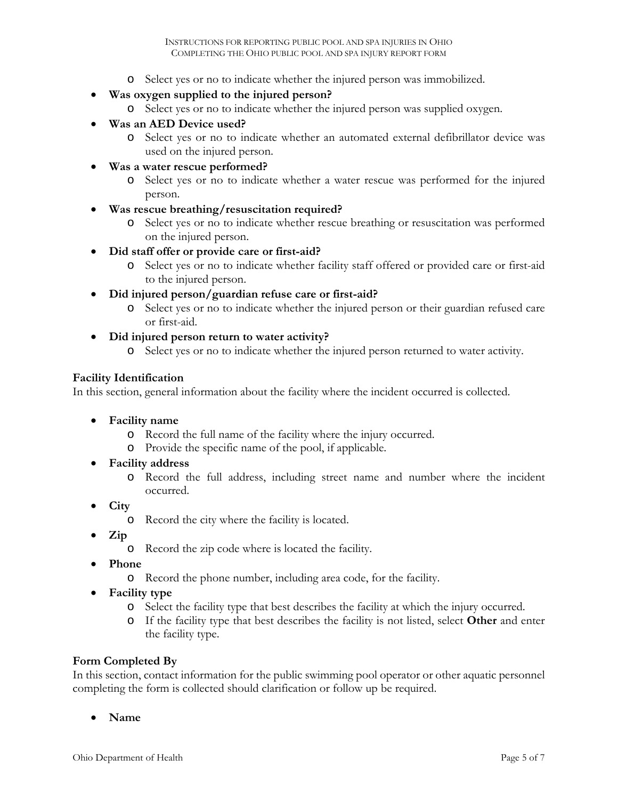o Select yes or no to indicate whether the injured person was immobilized.

# • **Was oxygen supplied to the injured person?**

- o Select yes or no to indicate whether the injured person was supplied oxygen.
- **Was an AED Device used?**
	- o Select yes or no to indicate whether an automated external defibrillator device was used on the injured person.

#### • **Was a water rescue performed?**

- o Select yes or no to indicate whether a water rescue was performed for the injured person.
- **Was rescue breathing/resuscitation required?**
	- o Select yes or no to indicate whether rescue breathing or resuscitation was performed on the injured person.
- **Did staff offer or provide care or first-aid?**
	- o Select yes or no to indicate whether facility staff offered or provided care or first-aid to the injured person.

## • **Did injured person/guardian refuse care or first-aid?**

- o Select yes or no to indicate whether the injured person or their guardian refused care or first-aid.
- **Did injured person return to water activity?**
	- o Select yes or no to indicate whether the injured person returned to water activity.

## **Facility Identification**

In this section, general information about the facility where the incident occurred is collected.

- **Facility name**
	- o Record the full name of the facility where the injury occurred.
	- o Provide the specific name of the pool, if applicable.
- **Facility address**
	- o Record the full address, including street name and number where the incident occurred.
- **City**
	- o Record the city where the facility is located.
- **Zip**
	- o Record the zip code where is located the facility.
- **Phone**
	- o Record the phone number, including area code, for the facility.
- **Facility type**
	- o Select the facility type that best describes the facility at which the injury occurred.
	- o If the facility type that best describes the facility is not listed, select **Other** and enter the facility type.

#### **Form Completed By**

In this section, contact information for the public swimming pool operator or other aquatic personnel completing the form is collected should clarification or follow up be required.

• **Name**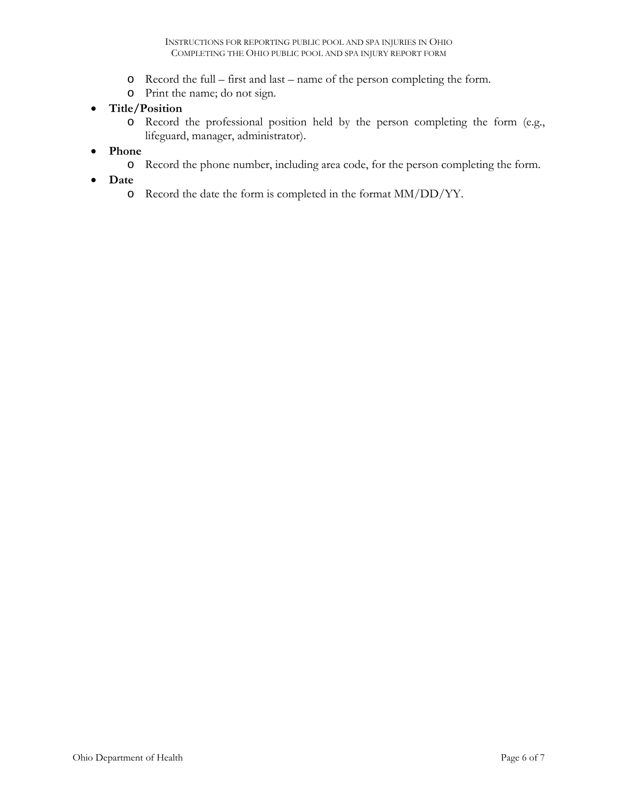- o Record the full first and last name of the person completing the form.
- o Print the name; do not sign.

# • **Title/Position**

- o Record the professional position held by the person completing the form (e.g., lifeguard, manager, administrator).
- **Phone**
	- o Record the phone number, including area code, for the person completing the form.
- **Date**
	- o Record the date the form is completed in the format MM/DD/YY.